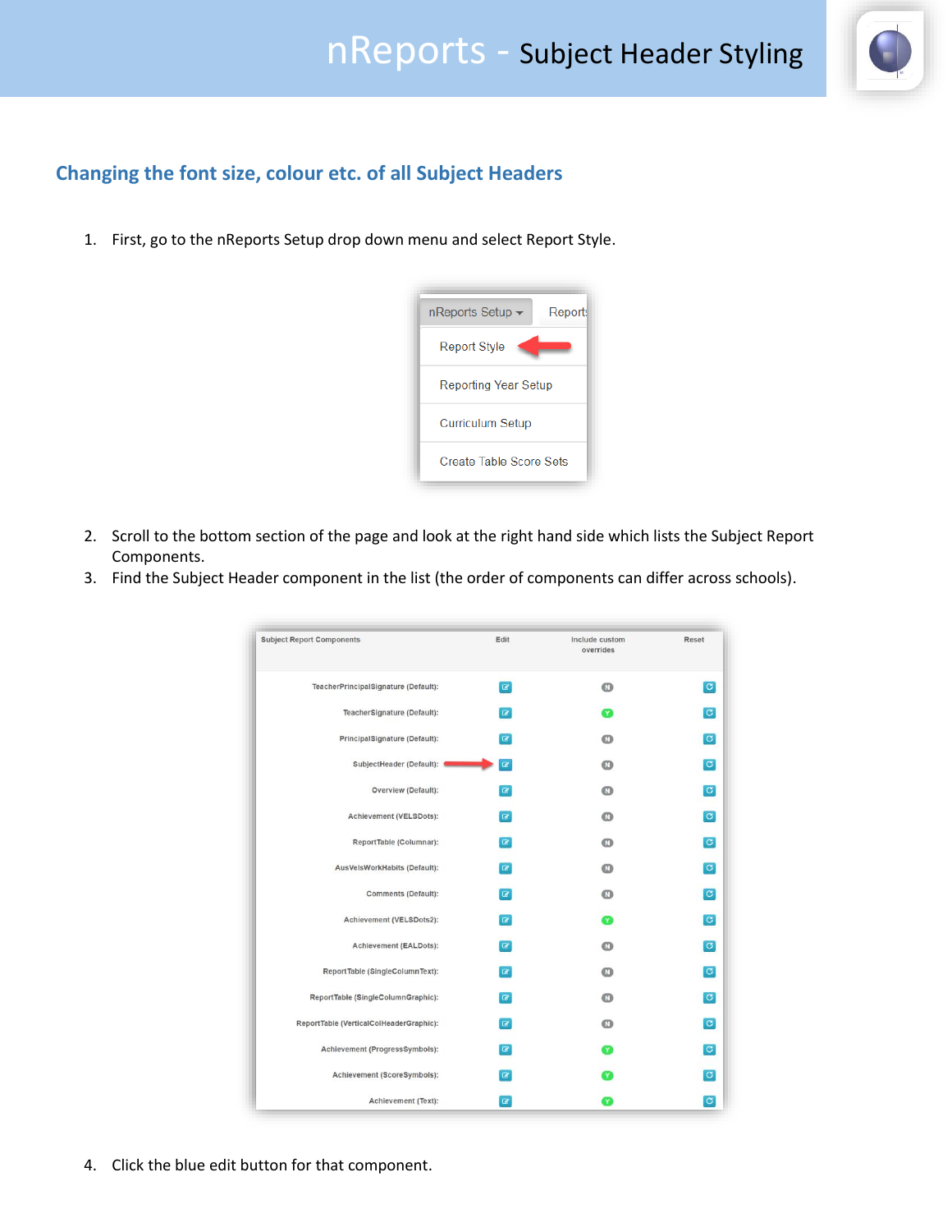

## **Changing the font size, colour etc. of all Subject Headers**

1. First, go to the nReports Setup drop down menu and select Report Style.



- 2. Scroll to the bottom section of the page and look at the right hand side which lists the Subject Report Components.
- 3. Find the Subject Header component in the list (the order of components can differ across schools).

| <b>Subject Report Components</b>        | Edit         | Include custom<br>overrides | Reset                |
|-----------------------------------------|--------------|-----------------------------|----------------------|
| TeacherPrincipalSignature (Default):    | $\alpha$     | $\mathbf{C}$                | $\sigma$             |
| TeacherSignature (Default):             | $\alpha$     | Y                           | $\sigma$             |
| PrincipalSignature (Default):           | $\alpha$     | $^\circledR$                | $\sigma$             |
| SubjectHeader (Default): 1              | $\mathbf{z}$ | $\mathbf{C}$                | $\boxed{\mathbf{C}}$ |
| Overview (Default):                     | $\alpha$     | $\bullet$                   | $\vert G \vert$      |
| Achievement (VELSDots):                 | $\alpha$     | o                           | $\sigma$             |
| ReportTable (Columnar):                 | $\alpha$     | ത                           | $\sigma$             |
| AusVelsWorkHabits (Default):            | $\alpha$     | $^\circledR$                | $\vert$ C            |
| Comments (Default):                     | $\alpha$     | $\bf \Omega$                | $\sigma$             |
| Achievement (VELSDots2):                | $\alpha$     | Ø                           | $\sigma$             |
| Achievement (EALDots):                  | $\alpha$     | $\bullet$                   | $\sigma$             |
| ReportTable (SingleColumnText):         | $\alpha$     | ${}^{\circ}$                | $\sigma$             |
| ReportTable (SingleColumnGraphic):      | $\alpha$     | $\mathbf \Omega$            | $\vert$ C            |
| ReportTable (VerticalColHeaderGraphic): | $\alpha$     | $\bullet$                   | $\sigma$             |
| Achievement (ProgressSymbols):          | $\alpha$     | m                           | $\vert c \vert$      |
| Achievement (ScoreSymbols):             | $\alpha$     | Y                           | $\overline{c}$       |
| Achievement (Text):                     | $\mathbf{z}$ | Y                           | $\sigma$             |

4. Click the blue edit button for that component.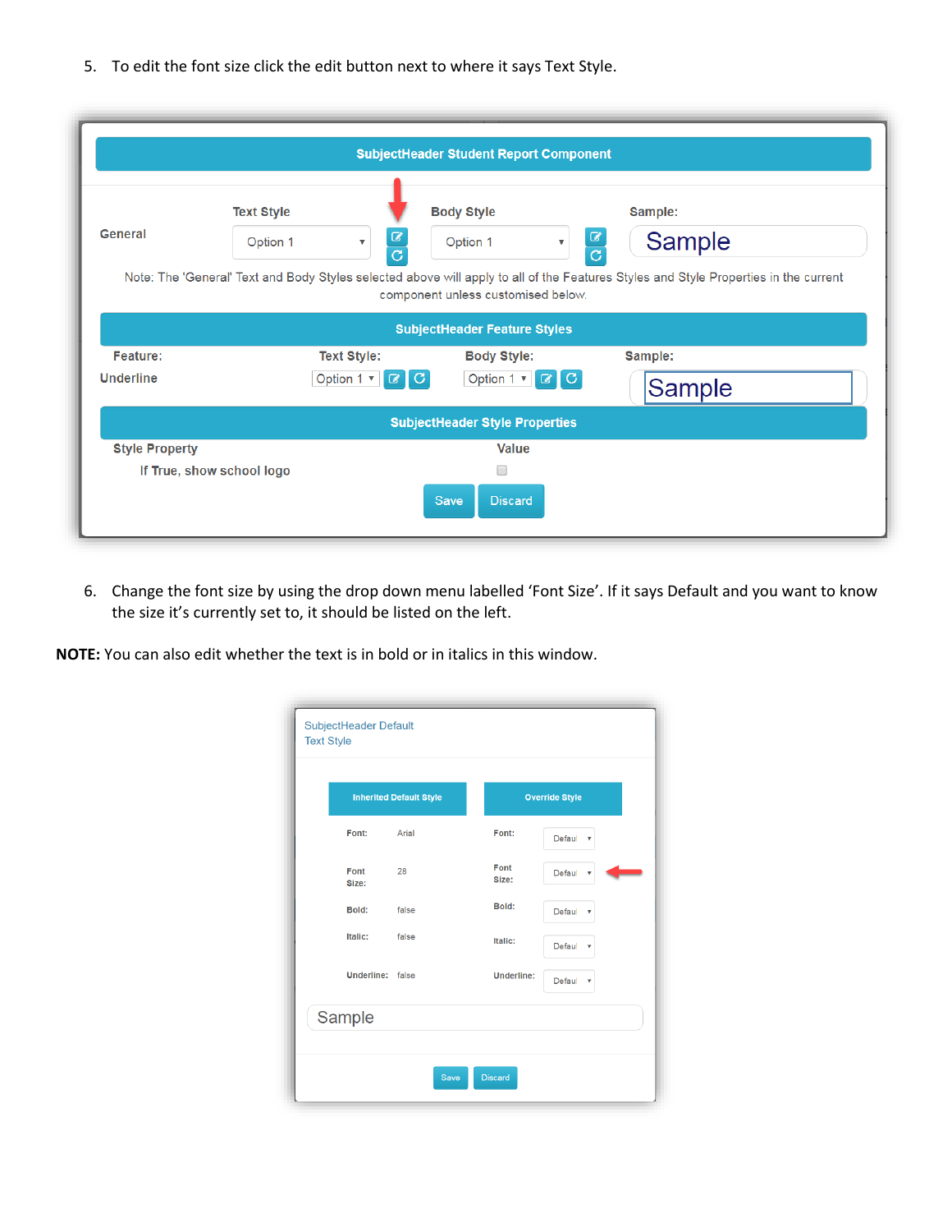5. To edit the font size click the edit button next to where it says Text Style.

|                              |                                  | <b>SubjectHeader Student Report Component</b>                                                   |                                      |                                                                                                                                                                            |
|------------------------------|----------------------------------|-------------------------------------------------------------------------------------------------|--------------------------------------|----------------------------------------------------------------------------------------------------------------------------------------------------------------------------|
| <b>General</b>               | <b>Text Style</b><br>Option 1    | <b>Body Style</b><br>☑<br>Option 1<br>▼<br>$\overline{c}$<br>component unless customised below. | $\overline{\mathbf{v}}$              | Sample:<br>$\frac{a}{c}$<br>Sample<br>Note: The 'General' Text and Body Styles selected above will apply to all of the Features Styles and Style Properties in the current |
|                              |                                  | <b>SubjectHeader Feature Styles</b>                                                             |                                      |                                                                                                                                                                            |
| Feature:<br><b>Underline</b> | <b>Text Style:</b><br>Option 1 v | G.<br>€                                                                                         | <b>Body Style:</b><br>Option 1 v G G | Sample:<br><b>Sample</b>                                                                                                                                                   |
|                              |                                  | <b>SubjectHeader Style Properties</b>                                                           |                                      |                                                                                                                                                                            |
| <b>Style Property</b>        | If True, show school logo        | Save                                                                                            | <b>Value</b><br>O<br><b>Discard</b>  |                                                                                                                                                                            |

6. Change the font size by using the drop down menu labelled 'Font Size'. If it says Default and you want to know the size it's currently set to, it should be listed on the left.

**NOTE:** You can also edit whether the text is in bold or in italics in this window.

|                  | <b>Inherited Default Style</b> |                   | <b>Override Style</b>               |
|------------------|--------------------------------|-------------------|-------------------------------------|
| Font:            | Arial                          | Font:             | Defaul<br>$\overline{\mathbf{v}}$   |
| Font<br>Size:    | 28                             | Font<br>Size:     | Defaul<br>▼                         |
| Bold:            | false                          | Bold:             | Defaul<br>$\overline{\mathbf{v}}$   |
| Italic:          | false                          | Italic:           | Defaul<br>۷                         |
| Underline: false |                                | <b>Underline:</b> | Defaul<br>$\boldsymbol{\mathrm{v}}$ |
| Sample           |                                |                   |                                     |